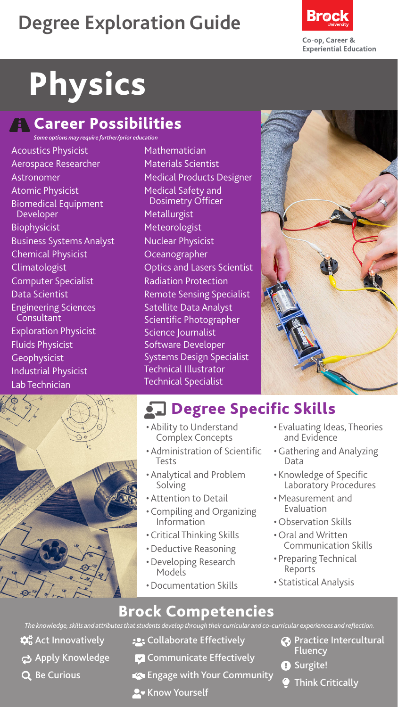# **Degree Exploration Guide**



# Physics

### **Ref** Career Possibilities

*Some options may require further/prior education*

Acoustics Physicist Aerospace Researcher Astronomer Atomic Physicist Biomedical Equipment Developer **Biophysicist** Business Systems Analyst Chemical Physicist Climatologist Computer Specialist Data Scientist Engineering Sciences Consultant Exploration Physicist Fluids Physicist Geophysicist Industrial Physicist Lab Technician



Mathematician Materials Scientist Medical Products Designer Medical Safety and Dosimetry Officer **Metallurgist** Meteorologist Nuclear Physicist Oceanographer Optics and Lasers Scientist Radiation Protection Remote Sensing Specialist Satellite Data Analyst Scientific Photographer Science Journalist Software Developer Systems Design Specialist Technical Illustrator Technical Specialist



- Ability to Understand Complex Concepts
- Administration of Scientific Tests
- Analytical and Problem Solving
- Attention to Detail
- Compiling and Organizing Information
- Critical Thinking Skills
- •Deductive Reasoning
- •Developing Research Models
- •Documentation Skills
- Evaluating Ideas, Theories and Evidence
- •Gathering and Analyzing Data
- Knowledge of Specific Laboratory Procedures
- •Measurement and Evaluation
- Observation Skills
- Oral and Written<br>Communication Skills
- Preparing Technical Reports
- Statistical Analysis

*The knowledge, skills and attributes that students develop through their curricular and co-curricular experiences and reflection.*

- $\mathbf{\hat{\alpha}}^{\circ}_{\mathbf{o}}$  Act Innovatively
- ch Apply Knowledge
- Q Be Curious
- **:** Collaborate Effectively
- **Z** Communicate Effectively
- Engage with Your Community
- **A** Know Yourself
- **Practice Intercultural Fluency**
- **O** Surgite!
	- Think Critically